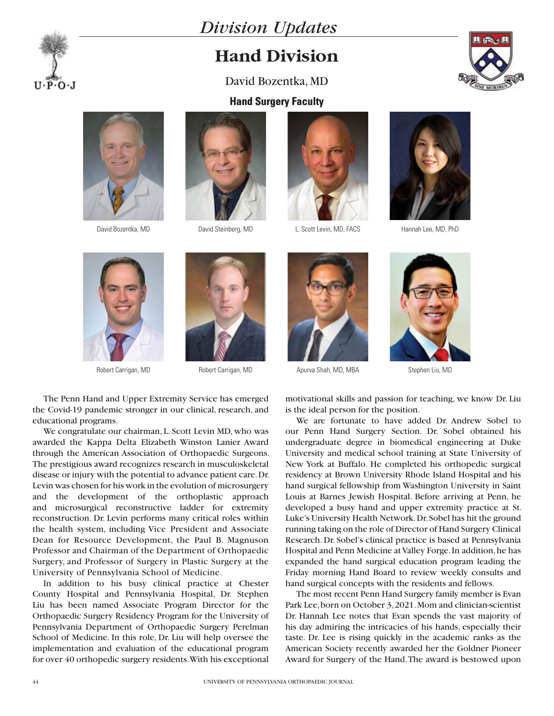

## **Hand Division**

David Bozentka, MD





 $U \cdot P \cdot O \cdot J$ 





David Bozentka, MD David Steinberg, MD L. Scott Levin, MD, FACS Hannah Lee, MD, PhD







The Penn Hand and Upper Extremity Service has emerged the Covid-19 pandemic stronger in our clinical, research, and educational programs.

We congratulate our chairman, L. Scott Levin MD, who was awarded the Kappa Delta Elizabeth Winston Lanier Award through the American Association of Orthopaedic Surgeons. The prestigious award recognizes research in musculoskeletal disease or injury with the potential to advance patient care. Dr. Levin was chosen for his work in the evolution of microsurgery and the development of the orthoplastic approach and microsurgical reconstructive ladder for extremity reconstruction. Dr. Levin performs many critical roles within the health system, including Vice President and Associate Dean for Resource Development, the Paul B. Magnuson Professor and Chairman of the Department of Orthopaedic Surgery, and Professor of Surgery in Plastic Surgery at the University of Pennsylvania School of Medicine.

In addition to his busy clinical practice at Chester County Hospital and Pennsylvania Hospital, Dr. Stephen Liu has been named Associate Program Director for the Orthopaedic Surgery Residency Program for the University of Pennsylvania Department of Orthopaedic Surgery Perelman School of Medicine. In this role, Dr. Liu will help oversee the implementation and evaluation of the educational program for over 40 orthopedic surgery residents. With his exceptional



Robert Carrigan, MD **Robert Carrigan, MD** Apurva Shah, MD, MBA

Stephen Liu, MD

motivational skills and passion for teaching, we know Dr. Liu is the ideal person for the position.

We are fortunate to have added Dr. Andrew Sobel to our Penn Hand Surgery Section. Dr. Sobel obtained his undergraduate degree in biomedical engineering at Duke University and medical school training at State University of New York at Buffalo. He completed his orthopedic surgical residency at Brown University Rhode Island Hospital and his hand surgical fellowship from Washington University in Saint Louis at Barnes Jewish Hospital. Before arriving at Penn, he developed a busy hand and upper extremity practice at St. Luke's University Health Network. Dr. Sobel has hit the ground running taking on the role of Director of Hand Surgery Clinical Research. Dr. Sobel's clinical practice is based at Pennsylvania Hospital and Penn Medicine at Valley Forge. In addition, he has expanded the hand surgical education program leading the Friday morning Hand Board to review weekly consults and hand surgical concepts with the residents and fellows.

The most recent Penn Hand Surgery family member is Evan Park Lee, born on October 3, 2021. Mom and clinician-scientist Dr. Hannah Lee notes that Evan spends the vast majority of his day admiring the intricacies of his hands, especially their taste. Dr. Lee is rising quickly in the academic ranks as the American Society recently awarded her the Goldner Pioneer Award for Surgery of the Hand. The award is bestowed upon